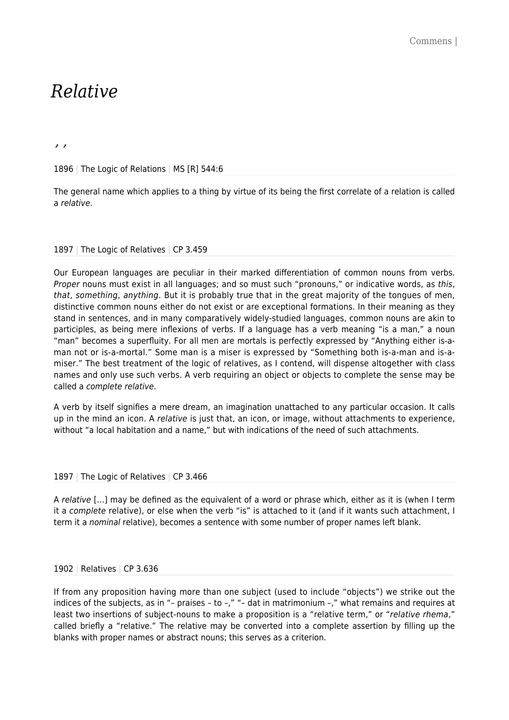## *Relative*

*, ,*

1896 | The Logic of Relations | MS [R] 544:6

The general name which applies to a thing by virtue of its being the first correlate of a relation is called a relative.

## 1897 | The Logic of Relatives | CP 3.459

Our European languages are peculiar in their marked differentiation of common nouns from verbs. Proper nouns must exist in all languages; and so must such "pronouns," or indicative words, as this, that, something, anything. But it is probably true that in the great majority of the tongues of men, distinctive common nouns either do not exist or are exceptional formations. In their meaning as they stand in sentences, and in many comparatively widely-studied languages, common nouns are akin to participles, as being mere inflexions of verbs. If a language has a verb meaning "is a man," a noun "man" becomes a superfluity. For all men are mortals is perfectly expressed by "Anything either is-aman not or is-a-mortal." Some man is a miser is expressed by "Something both is-a-man and is-amiser." The best treatment of the logic of relatives, as I contend, will dispense altogether with class names and only use such verbs. A verb requiring an object or objects to complete the sense may be called a complete relative.

A verb by itself signifies a mere dream, an imagination unattached to any particular occasion. It calls up in the mind an icon. A relative is just that, an icon, or image, without attachments to experience, without "a local habitation and a name," but with indications of the need of such attachments.

## 1897 | The Logic of Relatives | CP 3.466

A relative […] may be defined as the equivalent of a word or phrase which, either as it is (when I term it a complete relative), or else when the verb "is" is attached to it (and if it wants such attachment, I term it a nominal relative), becomes a sentence with some number of proper names left blank.

## 1902 | Relatives | CP 3.636

If from any proposition having more than one subject (used to include "objects") we strike out the indices of the subjects, as in "- praises - to -," "- dat in matrimonium -," what remains and requires at least two insertions of subject-nouns to make a proposition is a "relative term," or "relative rhema," called briefly a "relative." The relative may be converted into a complete assertion by filling up the blanks with proper names or abstract nouns; this serves as a criterion.